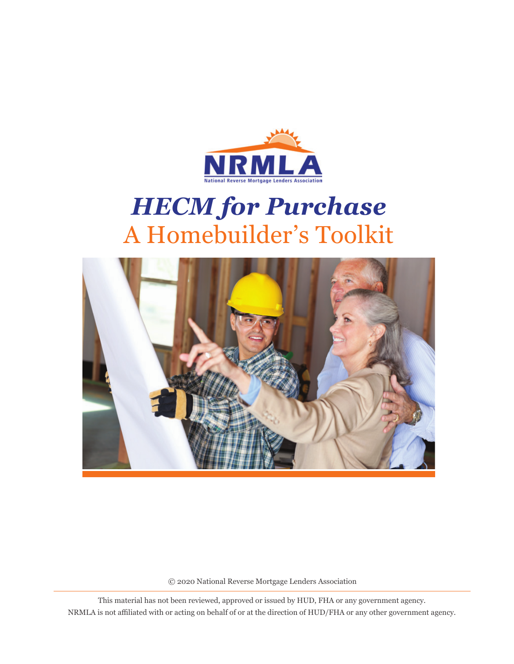

# *HECM for Purchase*  A Homebuilder's Toolkit



© 2020 National Reverse Mortgage Lenders Association

This material has not been reviewed, approved or issued by HUD, FHA or any government agency. NRMLA is not affiliated with or acting on behalf of or at the direction of HUD/FHA or any other government agency.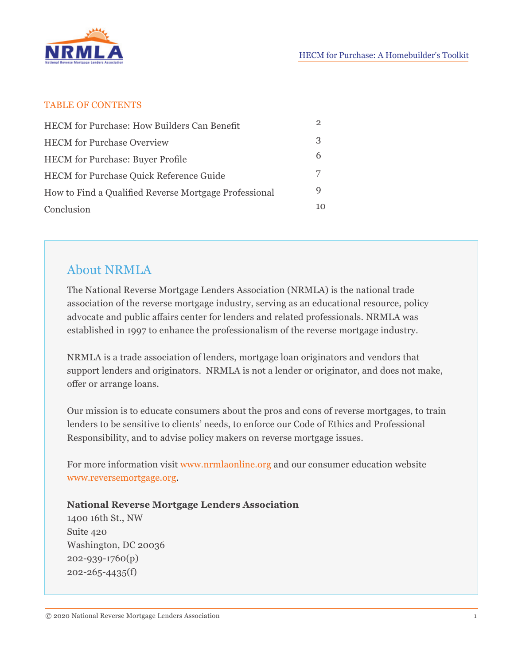

#### TABLE OF CONTENTS

| <b>HECM</b> for Purchase: How Builders Can Benefit    |    |
|-------------------------------------------------------|----|
| <b>HECM</b> for Purchase Overview                     | 3  |
| <b>HECM</b> for Purchase: Buyer Profile               | 6  |
| <b>HECM</b> for Purchase Quick Reference Guide        |    |
| How to Find a Qualified Reverse Mortgage Professional | Q  |
| Conclusion                                            | 10 |

### About NRMLA

The National Reverse Mortgage Lenders Association (NRMLA) is the national trade association of the reverse mortgage industry, serving as an educational resource, policy advocate and public affairs center for lenders and related professionals. NRMLA was established in 1997 to enhance the professionalism of the reverse mortgage industry.

NRMLA is a trade association of lenders, mortgage loan originators and vendors that support lenders and originators. NRMLA is not a lender or originator, and does not make, offer or arrange loans.

Our mission is to educate consumers about the pros and cons of reverse mortgages, to train lenders to be sensitive to clients' needs, to enforce our Code of Ethics and Professional Responsibility, and to advise policy makers on reverse mortgage issues.

For more information visit www.nrmlaonline.org and our consumer education website www.reversemortgage.org.

**National Reverse Mortgage Lenders Association** 1400 16th St., NW Suite 420 Washington, DC 20036 202-939-1760(p) 202-265-4435(f)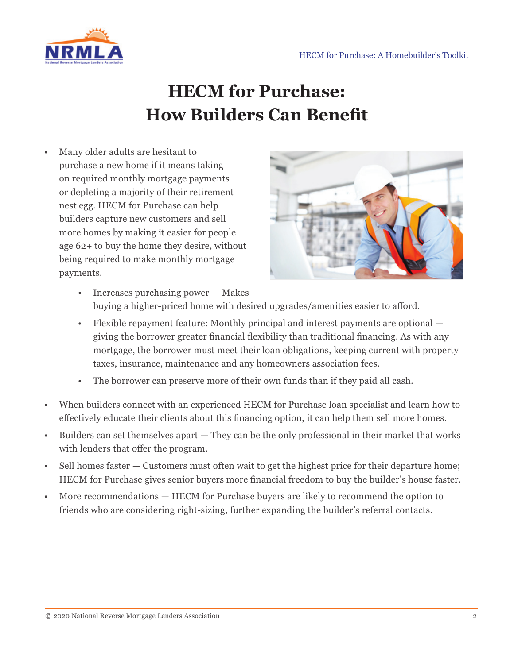

## **HECM for Purchase: How Builders Can Benefit**

• Many older adults are hesitant to purchase a new home if it means taking on required monthly mortgage payments or depleting a majority of their retirement nest egg. HECM for Purchase can help builders capture new customers and sell more homes by making it easier for people age 62+ to buy the home they desire, without being required to make monthly mortgage payments.



- Increases purchasing power Makes buying a higher-priced home with desired upgrades/amenities easier to afford.
- Flexible repayment feature: Monthly principal and interest payments are optional giving the borrower greater financial flexibility than traditional financing. As with any mortgage, the borrower must meet their loan obligations, keeping current with property taxes, insurance, maintenance and any homeowners association fees.
- The borrower can preserve more of their own funds than if they paid all cash.
- When builders connect with an experienced HECM for Purchase loan specialist and learn how to effectively educate their clients about this financing option, it can help them sell more homes.
- Builders can set themselves apart They can be the only professional in their market that works with lenders that offer the program.
- Sell homes faster Customers must often wait to get the highest price for their departure home; HECM for Purchase gives senior buyers more financial freedom to buy the builder's house faster.
- More recommendations HECM for Purchase buyers are likely to recommend the option to friends who are considering right-sizing, further expanding the builder's referral contacts.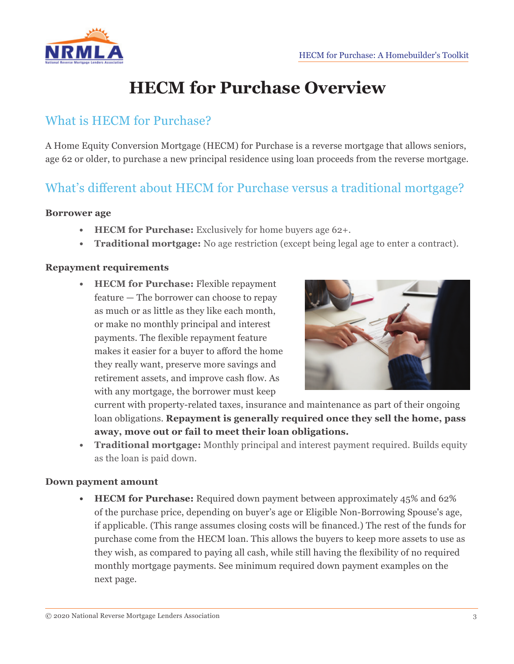

## **HECM for Purchase Overview**

### What is HECM for Purchase?

A Home Equity Conversion Mortgage (HECM) for Purchase is a reverse mortgage that allows seniors, age 62 or older, to purchase a new principal residence using loan proceeds from the reverse mortgage.

### What's different about HECM for Purchase versus a traditional mortgage?

#### **Borrower age**

- **• HECM for Purchase:** Exclusively for home buyers age 62+.
- **• Traditional mortgage:** No age restriction (except being legal age to enter a contract).

#### **Repayment requirements**

**• HECM for Purchase:** Flexible repayment feature — The borrower can choose to repay as much or as little as they like each month, or make no monthly principal and interest payments. The flexible repayment feature makes it easier for a buyer to afford the home they really want, preserve more savings and retirement assets, and improve cash flow. As with any mortgage, the borrower must keep



current with property-related taxes, insurance and maintenance as part of their ongoing loan obligations. **Repayment is generally required once they sell the home, pass away, move out or fail to meet their loan obligations.**

**• Traditional mortgage:** Monthly principal and interest payment required. Builds equity as the loan is paid down.

#### **Down payment amount**

**• HECM for Purchase:** Required down payment between approximately 45% and 62% of the purchase price, depending on buyer's age or Eligible Non-Borrowing Spouse's age, if applicable. (This range assumes closing costs will be financed.) The rest of the funds for purchase come from the HECM loan. This allows the buyers to keep more assets to use as they wish, as compared to paying all cash, while still having the flexibility of no required monthly mortgage payments. See minimum required down payment examples on the next page.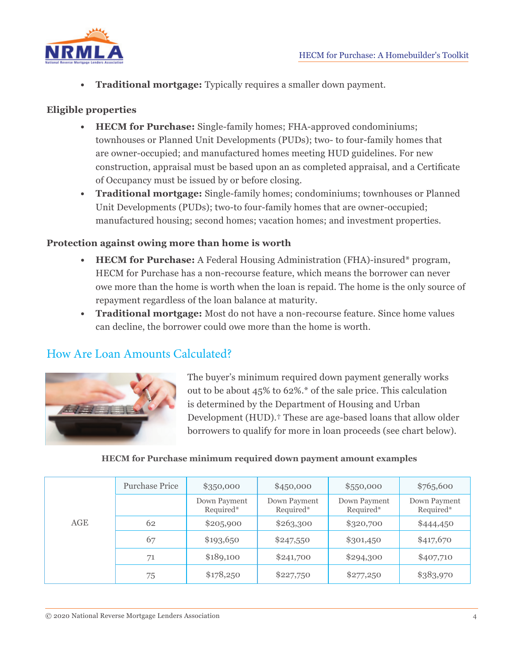

**• Traditional mortgage:** Typically requires a smaller down payment.

### **Eligible properties**

- **• HECM for Purchase:** Single-family homes; FHA-approved condominiums; townhouses or Planned Unit Developments (PUDs); two- to four-family homes that are owner-occupied; and manufactured homes meeting HUD guidelines. For new construction, appraisal must be based upon an as completed appraisal, and a Certificate of Occupancy must be issued by or before closing.
- **• Traditional mortgage:** Single-family homes; condominiums; townhouses or Planned Unit Developments (PUDs); two-to four-family homes that are owner-occupied; manufactured housing; second homes; vacation homes; and investment properties.

### **Protection against owing more than home is worth**

- **• HECM for Purchase:** A Federal Housing Administration (FHA)-insured\* program, HECM for Purchase has a non-recourse feature, which means the borrower can never owe more than the home is worth when the loan is repaid. The home is the only source of repayment regardless of the loan balance at maturity.
- **• Traditional mortgage:** Most do not have a non-recourse feature. Since home values can decline, the borrower could owe more than the home is worth.

### How Are Loan Amounts Calculated?



The buyer's minimum required down payment generally works out to be about 45% to 62%.\* of the sale price. This calculation is determined by the Department of Housing and Urban Development (HUD).† These are age-based loans that allow older borrowers to qualify for more in loan proceeds (see chart below).

#### **HECM for Purchase minimum required down payment amount examples**

| AGE | <b>Purchase Price</b> | \$350,000                 | \$450,000                 | \$550,000                 | \$765,600                 |
|-----|-----------------------|---------------------------|---------------------------|---------------------------|---------------------------|
|     |                       | Down Payment<br>Required* | Down Payment<br>Required* | Down Payment<br>Required* | Down Payment<br>Required* |
|     | 62                    | \$205,900                 | \$263,300                 | \$320,700                 | \$444,450                 |
|     | 67                    | \$193,650                 | \$247,550                 | \$301,450                 | \$417,670                 |
|     | 71                    | \$189,100                 | \$241,700                 | \$294,300                 | \$407,710                 |
|     | 75                    | \$178,250                 | \$227,750                 | \$277,250                 | \$383,970                 |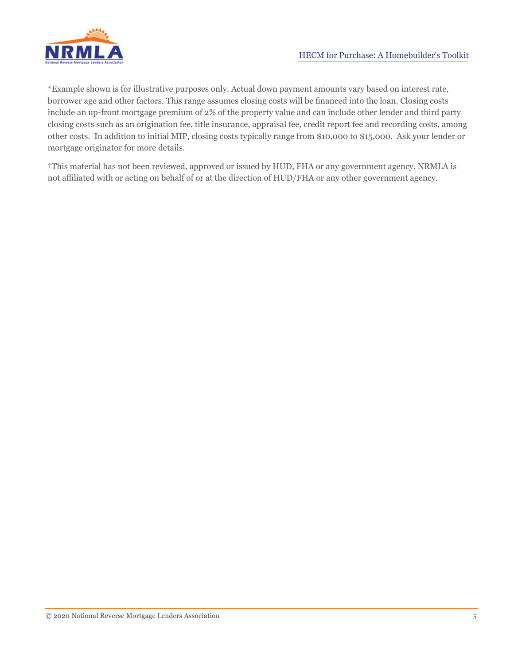

\*Example shown is for illustrative purposes only. Actual down payment amounts vary based on interest rate, borrower age and other factors. This range assumes closing costs will be financed into the loan. Closing costs include an up-front mortgage premium of 2% of the property value and can include other lender and third party closing costs such as an origination fee, title insurance, appraisal fee, credit report fee and recording costs, among other costs. In addition to initial MIP, closing costs typically range from \$10,000 to \$15,000. Ask your lender or mortgage originator for more details.

†This material has not been reviewed, approved or issued by HUD, FHA or any government agency. NRMLA is not affiliated with or acting on behalf of or at the direction of HUD/FHA or any other government agency.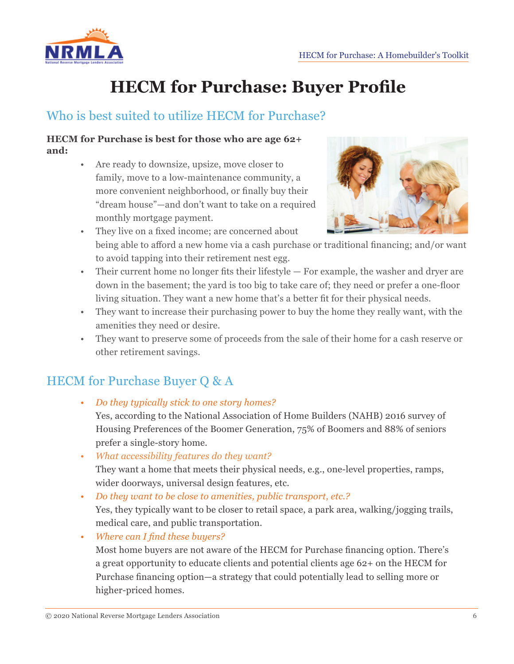

## **HECM for Purchase: Buyer Profile**

### Who is best suited to utilize HECM for Purchase?

#### **HECM for Purchase is best for those who are age 62+ and:**

• Are ready to downsize, upsize, move closer to family, move to a low-maintenance community, a more convenient neighborhood, or finally buy their "dream house"—and don't want to take on a required monthly mortgage payment.



- They live on a fixed income; are concerned about being able to afford a new home via a cash purchase or traditional financing; and/or want to avoid tapping into their retirement nest egg.
- Their current home no longer fits their lifestyle For example, the washer and dryer are down in the basement; the yard is too big to take care of; they need or prefer a one-floor living situation. They want a new home that's a better fit for their physical needs.
- They want to increase their purchasing power to buy the home they really want, with the amenities they need or desire.
- They want to preserve some of proceeds from the sale of their home for a cash reserve or other retirement savings.

## HECM for Purchase Buyer Q & A

*• Do they typically stick to one story homes?*

Yes, according to the National Association of Home Builders (NAHB) 2016 survey of Housing Preferences of the Boomer Generation, 75% of Boomers and 88% of seniors prefer a single-story home.

- *• What accessibility features do they want?* They want a home that meets their physical needs, e.g., one-level properties, ramps, wider doorways, universal design features, etc.
- *• Do they want to be close to amenities, public transport, etc.?*

Yes, they typically want to be closer to retail space, a park area, walking/jogging trails, medical care, and public transportation.

*• Where can I find these buyers?*

Most home buyers are not aware of the HECM for Purchase financing option. There's a great opportunity to educate clients and potential clients age 62+ on the HECM for Purchase financing option—a strategy that could potentially lead to selling more or higher-priced homes.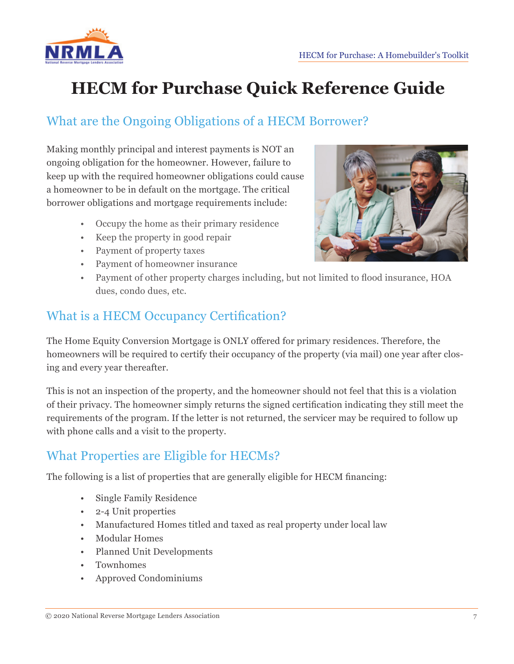

## **HECM for Purchase Quick Reference Guide**

## What are the Ongoing Obligations of a HECM Borrower?

Making monthly principal and interest payments is NOT an ongoing obligation for the homeowner. However, failure to keep up with the required homeowner obligations could cause a homeowner to be in default on the mortgage. The critical borrower obligations and mortgage requirements include:

- Occupy the home as their primary residence
- Keep the property in good repair
- Payment of property taxes
- Payment of homeowner insurance



• Payment of other property charges including, but not limited to flood insurance, HOA dues, condo dues, etc.

### What is a HECM Occupancy Certification?

The Home Equity Conversion Mortgage is ONLY offered for primary residences. Therefore, the homeowners will be required to certify their occupancy of the property (via mail) one year after closing and every year thereafter.

This is not an inspection of the property, and the homeowner should not feel that this is a violation of their privacy. The homeowner simply returns the signed certification indicating they still meet the requirements of the program. If the letter is not returned, the servicer may be required to follow up with phone calls and a visit to the property.

## What Properties are Eligible for HECMs?

The following is a list of properties that are generally eligible for HECM financing:

- Single Family Residence
- 2-4 Unit properties
- Manufactured Homes titled and taxed as real property under local law
- Modular Homes
- Planned Unit Developments
- Townhomes
- Approved Condominiums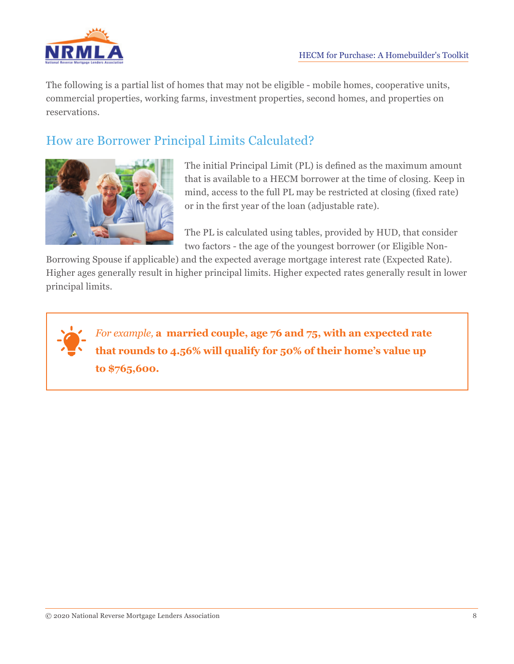

The following is a partial list of homes that may not be eligible - mobile homes, cooperative units, commercial properties, working farms, investment properties, second homes, and properties on reservations.

## How are Borrower Principal Limits Calculated?



The initial Principal Limit (PL) is defined as the maximum amount that is available to a HECM borrower at the time of closing. Keep in mind, access to the full PL may be restricted at closing (fixed rate) or in the first year of the loan (adjustable rate).

The PL is calculated using tables, provided by HUD, that consider two factors - the age of the youngest borrower (or Eligible Non-

Borrowing Spouse if applicable) and the expected average mortgage interest rate (Expected Rate). Higher ages generally result in higher principal limits. Higher expected rates generally result in lower principal limits.

*For example,* **a married couple, age 76 and 75, with an expected rate that rounds to 4.56% will qualify for 50% of their home's value up to \$765,600.**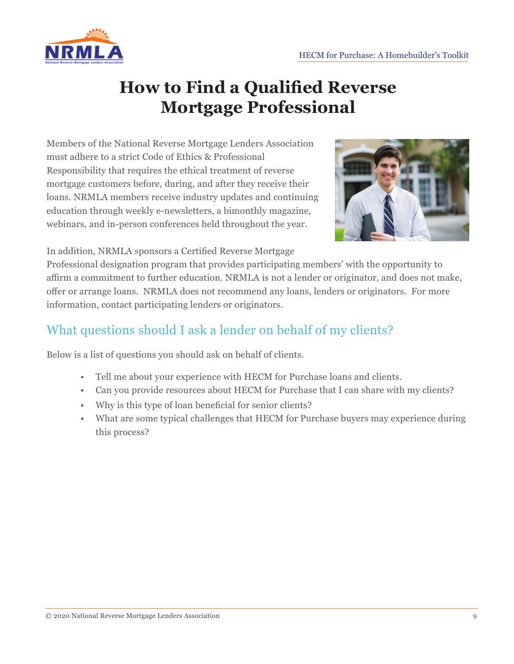

## **How to Find a Qualified Reverse Mortgage Professional**

Members of the National Reverse Mortgage Lenders Association must adhere to a strict Code of Ethics & Professional Responsibility that requires the ethical treatment of reverse mortgage customers before, during, and after they receive their loans. NRMLA members receive industry updates and continuing education through weekly e-newsletters, a bimonthly magazine, webinars, and in-person conferences held throughout the year.



In addition, NRMLA sponsors a Certified Reverse Mortgage

Professional designation program that provides participating members' with the opportunity to affirm a commitment to further education. NRMLA is not a lender or originator, and does not make, offer or arrange loans. NRMLA does not recommend any loans, lenders or originators. For more information, contact participating lenders or originators.

## What questions should I ask a lender on behalf of my clients?

Below is a list of questions you should ask on behalf of clients.

- Tell me about your experience with HECM for Purchase loans and clients.
- Can you provide resources about HECM for Purchase that I can share with my clients?
- Why is this type of loan beneficial for senior clients?
- What are some typical challenges that HECM for Purchase buyers may experience during this process?